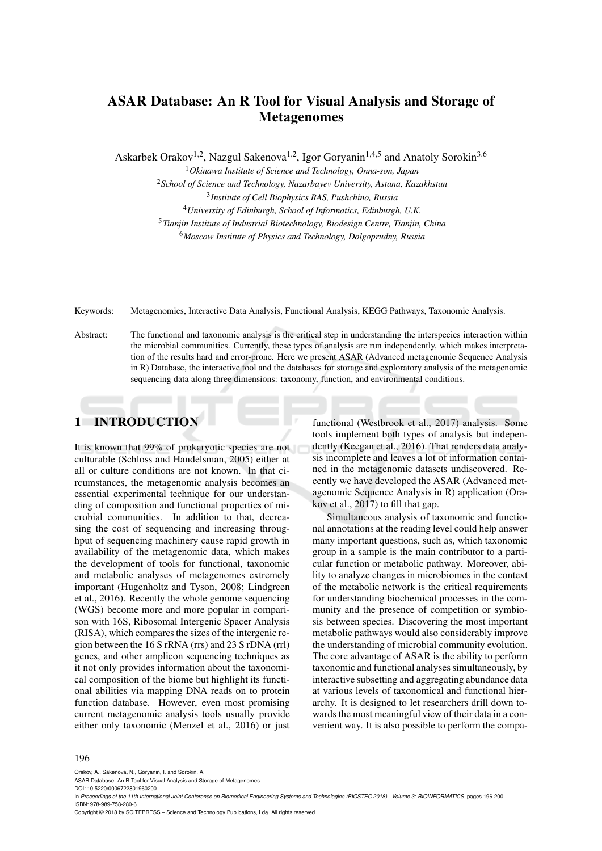# **ASAR Database: An R Tool for Visual Analysis and Storage of Metagenomes**

Askarbek Orakov<sup>1,2</sup>, Nazgul Sakenova<sup>1,2</sup>, Igor Goryanin<sup>1,4,5</sup> and Anatoly Sorokin<sup>3,6</sup>

<sup>1</sup>*Okinawa Institute of Science and Technology, Onna-son, Japan*

<sup>2</sup>*School of Science and Technology, Nazarbayev University, Astana, Kazakhstan*

3 *Institute of Cell Biophysics RAS, Pushchino, Russia*

<sup>4</sup>*University of Edinburgh, School of Informatics, Edinburgh, U.K.*

<sup>5</sup>*Tianjin Institute of Industrial Biotechnology, Biodesign Centre, Tianjin, China*

<sup>6</sup>*Moscow Institute of Physics and Technology, Dolgoprudny, Russia*

Keywords: Metagenomics, Interactive Data Analysis, Functional Analysis, KEGG Pathways, Taxonomic Analysis.

Abstract: The functional and taxonomic analysis is the critical step in understanding the interspecies interaction within the microbial communities. Currently, these types of analysis are run independently, which makes interpretation of the results hard and error-prone. Here we present ASAR (Advanced metagenomic Sequence Analysis in R) Database, the interactive tool and the databases for storage and exploratory analysis of the metagenomic sequencing data along three dimensions: taxonomy, function, and environmental conditions.

# **1 INTRODUCTION**

It is known that 99% of prokaryotic species are not culturable (Schloss and Handelsman, 2005) either at all or culture conditions are not known. In that circumstances, the metagenomic analysis becomes an essential experimental technique for our understanding of composition and functional properties of microbial communities. In addition to that, decreasing the cost of sequencing and increasing throughput of sequencing machinery cause rapid growth in availability of the metagenomic data, which makes the development of tools for functional, taxonomic and metabolic analyses of metagenomes extremely important (Hugenholtz and Tyson, 2008; Lindgreen et al., 2016). Recently the whole genome sequencing (WGS) become more and more popular in comparison with 16S, Ribosomal Intergenic Spacer Analysis (RISA), which compares the sizes of the intergenic region between the 16 S rRNA (rrs) and 23 S rDNA (rrl) genes, and other amplicon sequencing techniques as it not only provides information about the taxonomical composition of the biome but highlight its functional abilities via mapping DNA reads on to protein function database. However, even most promising current metagenomic analysis tools usually provide either only taxonomic (Menzel et al., 2016) or just

functional (Westbrook et al., 2017) analysis. Some tools implement both types of analysis but independently (Keegan et al., 2016). That renders data analysis incomplete and leaves a lot of information contained in the metagenomic datasets undiscovered. Recently we have developed the ASAR (Advanced metagenomic Sequence Analysis in R) application (Orakov et al., 2017) to fill that gap.

Simultaneous analysis of taxonomic and functional annotations at the reading level could help answer many important questions, such as, which taxonomic group in a sample is the main contributor to a particular function or metabolic pathway. Moreover, ability to analyze changes in microbiomes in the context of the metabolic network is the critical requirements for understanding biochemical processes in the community and the presence of competition or symbiosis between species. Discovering the most important metabolic pathways would also considerably improve the understanding of microbial community evolution. The core advantage of ASAR is the ability to perform taxonomic and functional analyses simultaneously, by interactive subsetting and aggregating abundance data at various levels of taxonomical and functional hierarchy. It is designed to let researchers drill down towards the most meaningful view of their data in a convenient way. It is also possible to perform the compa-

#### 196

Orakov, A., Sakenova, N., Goryanin, I. and Sorokin, A.

ASAR Database: An R Tool for Visual Analysis and Storage of Metagenomes.

DOI: 10.5220/0006722801960200

In *Proceedings of the 11th International Joint Conference on Biomedical Engineering Systems and Technologies (BIOSTEC 2018) - Volume 3: BIOINFORMATICS*, pages 196-200 ISBN: 978-989-758-280-6

Copyright © 2018 by SCITEPRESS – Science and Technology Publications, Lda. All rights reserved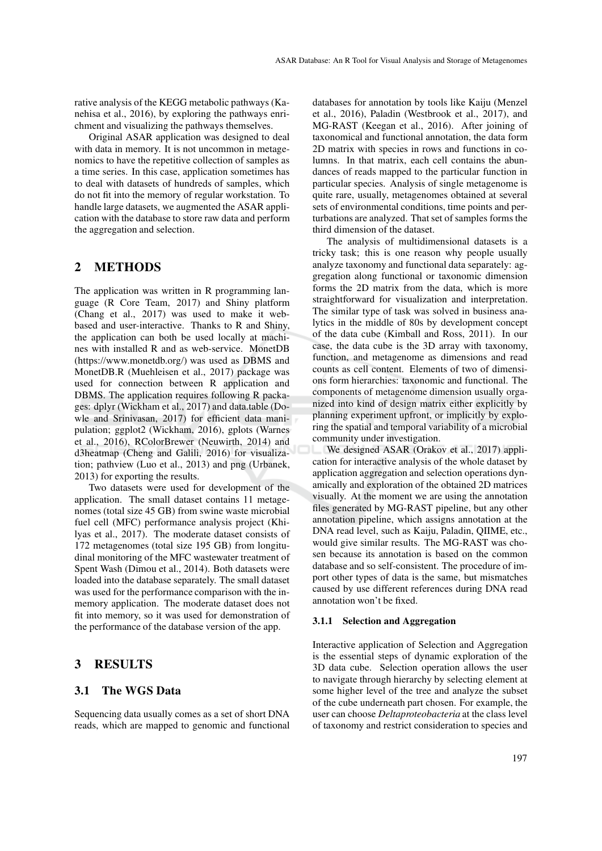rative analysis of the KEGG metabolic pathways (Kanehisa et al., 2016), by exploring the pathways enrichment and visualizing the pathways themselves.

Original ASAR application was designed to deal with data in memory. It is not uncommon in metagenomics to have the repetitive collection of samples as a time series. In this case, application sometimes has to deal with datasets of hundreds of samples, which do not fit into the memory of regular workstation. To handle large datasets, we augmented the ASAR application with the database to store raw data and perform the aggregation and selection.

## **2 METHODS**

The application was written in R programming language (R Core Team, 2017) and Shiny platform (Chang et al., 2017) was used to make it webbased and user-interactive. Thanks to R and Shiny, the application can both be used locally at machines with installed R and as web-service. MonetDB (https://www.monetdb.org/) was used as DBMS and MonetDB.R (Muehleisen et al., 2017) package was used for connection between R application and DBMS. The application requires following R packages: dplyr (Wickham et al., 2017) and data.table (Dowle and Srinivasan, 2017) for efficient data manipulation; ggplot2 (Wickham, 2016), gplots (Warnes et al., 2016), RColorBrewer (Neuwirth, 2014) and d3heatmap (Cheng and Galili, 2016) for visualization; pathview (Luo et al., 2013) and png (Urbanek, 2013) for exporting the results.

Two datasets were used for development of the application. The small dataset contains 11 metagenomes (total size 45 GB) from swine waste microbial fuel cell (MFC) performance analysis project (Khilyas et al., 2017). The moderate dataset consists of 172 metagenomes (total size 195 GB) from longitudinal monitoring of the MFC wastewater treatment of Spent Wash (Dimou et al., 2014). Both datasets were loaded into the database separately. The small dataset was used for the performance comparison with the inmemory application. The moderate dataset does not fit into memory, so it was used for demonstration of the performance of the database version of the app.

## **3 RESULTS**

### **3.1 The WGS Data**

Sequencing data usually comes as a set of short DNA reads, which are mapped to genomic and functional

databases for annotation by tools like Kaiju (Menzel et al., 2016), Paladin (Westbrook et al., 2017), and MG-RAST (Keegan et al., 2016). After joining of taxonomical and functional annotation, the data form 2D matrix with species in rows and functions in columns. In that matrix, each cell contains the abundances of reads mapped to the particular function in particular species. Analysis of single metagenome is quite rare, usually, metagenomes obtained at several sets of environmental conditions, time points and perturbations are analyzed. That set of samples forms the third dimension of the dataset.

The analysis of multidimensional datasets is a tricky task; this is one reason why people usually analyze taxonomy and functional data separately: aggregation along functional or taxonomic dimension forms the 2D matrix from the data, which is more straightforward for visualization and interpretation. The similar type of task was solved in business analytics in the middle of 80s by development concept of the data cube (Kimball and Ross, 2011). In our case, the data cube is the 3D array with taxonomy, function, and metagenome as dimensions and read counts as cell content. Elements of two of dimensions form hierarchies: taxonomic and functional. The components of metagenome dimension usually organized into kind of design matrix either explicitly by planning experiment upfront, or implicitly by exploring the spatial and temporal variability of a microbial community under investigation.

We designed ASAR (Orakov et al., 2017) application for interactive analysis of the whole dataset by application aggregation and selection operations dynamically and exploration of the obtained 2D matrices visually. At the moment we are using the annotation files generated by MG-RAST pipeline, but any other annotation pipeline, which assigns annotation at the DNA read level, such as Kaiju, Paladin, QIIME, etc., would give similar results. The MG-RAST was chosen because its annotation is based on the common database and so self-consistent. The procedure of import other types of data is the same, but mismatches caused by use different references during DNA read annotation won't be fixed.

#### **3.1.1 Selection and Aggregation**

Interactive application of Selection and Aggregation is the essential steps of dynamic exploration of the 3D data cube. Selection operation allows the user to navigate through hierarchy by selecting element at some higher level of the tree and analyze the subset of the cube underneath part chosen. For example, the user can choose *Deltaproteobacteria* at the class level of taxonomy and restrict consideration to species and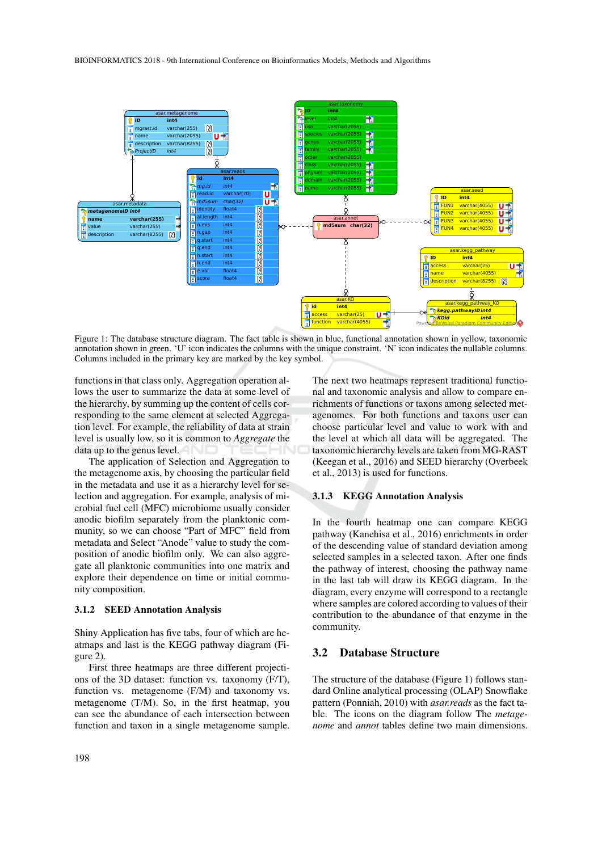

Figure 1: The database structure diagram. The fact table is shown in blue, functional annotation shown in yellow, taxonomic annotation shown in green. 'U' icon indicates the columns with the unique constraint. 'N' icon indicates the nullable columns. Columns included in the primary key are marked by the key symbol.

functions in that class only. Aggregation operation allows the user to summarize the data at some level of the hierarchy, by summing up the content of cells corresponding to the same element at selected Aggregation level. For example, the reliability of data at strain level is usually low, so it is common to *Aggregate* the data up to the genus level.

The application of Selection and Aggregation to the metagenome axis, by choosing the particular field in the metadata and use it as a hierarchy level for selection and aggregation. For example, analysis of microbial fuel cell (MFC) microbiome usually consider anodic biofilm separately from the planktonic community, so we can choose "Part of MFC" field from metadata and Select "Anode" value to study the composition of anodic biofilm only. We can also aggregate all planktonic communities into one matrix and explore their dependence on time or initial community composition.

#### **3.1.2 SEED Annotation Analysis**

Shiny Application has five tabs, four of which are heatmaps and last is the KEGG pathway diagram (Figure 2).

First three heatmaps are three different projections of the 3D dataset: function vs. taxonomy (F/T), function vs. metagenome (F/M) and taxonomy vs. metagenome (T/M). So, in the first heatmap, you can see the abundance of each intersection between function and taxon in a single metagenome sample.

The next two heatmaps represent traditional functional and taxonomic analysis and allow to compare enrichments of functions or taxons among selected metagenomes. For both functions and taxons user can choose particular level and value to work with and the level at which all data will be aggregated. The taxonomic hierarchy levels are taken from MG-RAST (Keegan et al., 2016) and SEED hierarchy (Overbeek et al., 2013) is used for functions.

#### **3.1.3 KEGG Annotation Analysis**

In the fourth heatmap one can compare KEGG pathway (Kanehisa et al., 2016) enrichments in order of the descending value of standard deviation among selected samples in a selected taxon. After one finds the pathway of interest, choosing the pathway name in the last tab will draw its KEGG diagram. In the diagram, every enzyme will correspond to a rectangle where samples are colored according to values of their contribution to the abundance of that enzyme in the community.

#### **3.2 Database Structure**

The structure of the database (Figure 1) follows standard Online analytical processing (OLAP) Snowflake pattern (Ponniah, 2010) with *asar.reads* as the fact table. The icons on the diagram follow The *metagenome* and *annot* tables define two main dimensions.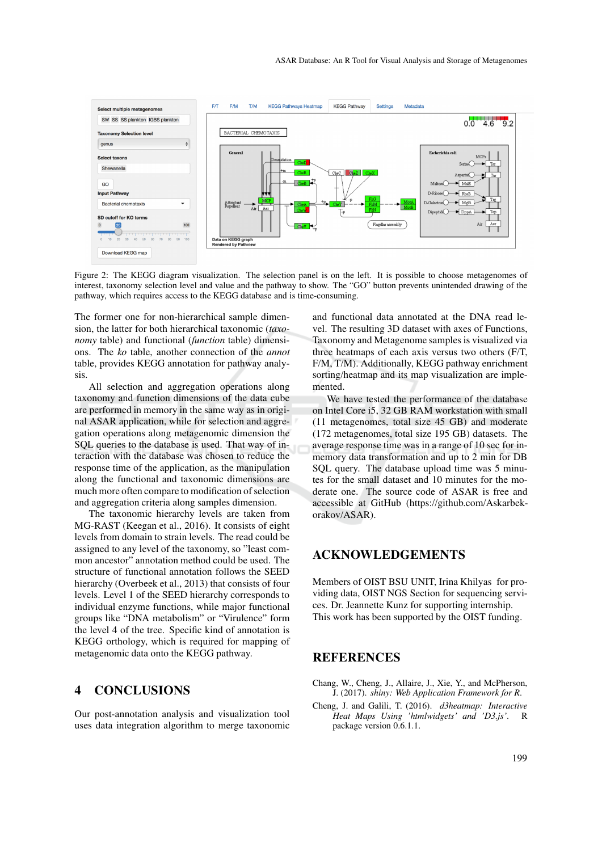

Figure 2: The KEGG diagram visualization. The selection panel is on the left. It is possible to choose metagenomes of interest, taxonomy selection level and value and the pathway to show. The "GO" button prevents unintended drawing of the pathway, which requires access to the KEGG database and is time-consuming.

The former one for non-hierarchical sample dimension, the latter for both hierarchical taxonomic (*taxonomy* table) and functional (*function* table) dimensions. The *ko* table, another connection of the *annot* table, provides KEGG annotation for pathway analysis.

All selection and aggregation operations along taxonomy and function dimensions of the data cube are performed in memory in the same way as in original ASAR application, while for selection and aggregation operations along metagenomic dimension the SQL queries to the database is used. That way of interaction with the database was chosen to reduce the response time of the application, as the manipulation along the functional and taxonomic dimensions are much more often compare to modification of selection and aggregation criteria along samples dimension.

The taxonomic hierarchy levels are taken from MG-RAST (Keegan et al., 2016). It consists of eight levels from domain to strain levels. The read could be assigned to any level of the taxonomy, so "least common ancestor" annotation method could be used. The structure of functional annotation follows the SEED hierarchy (Overbeek et al., 2013) that consists of four levels. Level 1 of the SEED hierarchy corresponds to individual enzyme functions, while major functional groups like "DNA metabolism" or "Virulence" form the level 4 of the tree. Specific kind of annotation is KEGG orthology, which is required for mapping of metagenomic data onto the KEGG pathway.

# **4 CONCLUSIONS**

Our post-annotation analysis and visualization tool uses data integration algorithm to merge taxonomic

and functional data annotated at the DNA read level. The resulting 3D dataset with axes of Functions, Taxonomy and Metagenome samples is visualized via three heatmaps of each axis versus two others (F/T, F/M, T/M). Additionally, KEGG pathway enrichment sorting/heatmap and its map visualization are implemented.

We have tested the performance of the database on Intel Core i5, 32 GB RAM workstation with small (11 metagenomes, total size 45 GB) and moderate (172 metagenomes, total size 195 GB) datasets. The average response time was in a range of 10 sec for inmemory data transformation and up to 2 min for DB SQL query. The database upload time was 5 minutes for the small dataset and 10 minutes for the moderate one. The source code of ASAR is free and accessible at GitHub (https://github.com/Askarbekorakov/ASAR).

### **ACKNOWLEDGEMENTS**

Members of OIST BSU UNIT, Irina Khilyas for providing data, OIST NGS Section for sequencing services. Dr. Jeannette Kunz for supporting internship. This work has been supported by the OIST funding.

### **REFERENCES**

- Chang, W., Cheng, J., Allaire, J., Xie, Y., and McPherson, J. (2017). *shiny: Web Application Framework for R*.
- Cheng, J. and Galili, T. (2016). *d3heatmap: Interactive Heat Maps Using 'htmlwidgets' and 'D3.js'*. R package version 0.6.1.1.